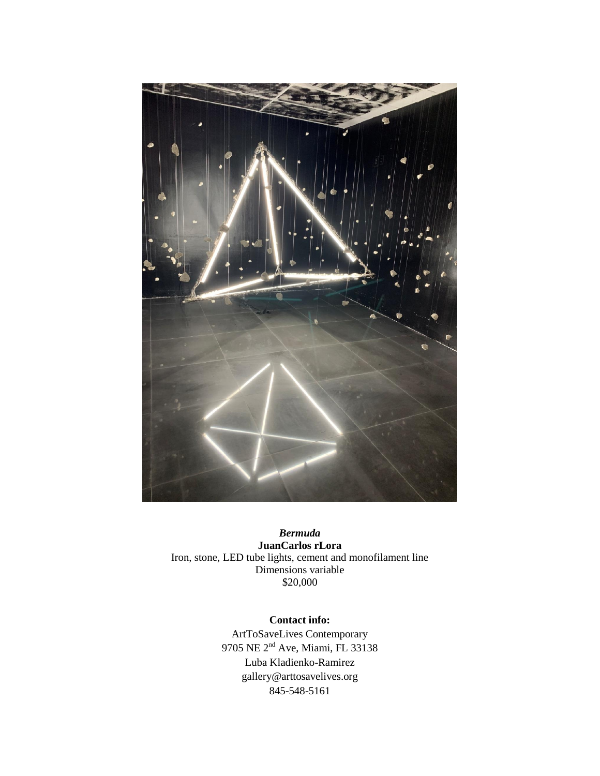

*Bermuda* **JuanCarlos rLora** Iron, stone, LED tube lights, cement and monofilament line Dimensions variable \$20,000

> **Contact info:** ArtToSaveLives Contemporary 9705 NE 2<sup>nd</sup> Ave, Miami, FL 33138 Luba Kladienko-Ramirez gallery@arttosavelives.org 845-548-5161